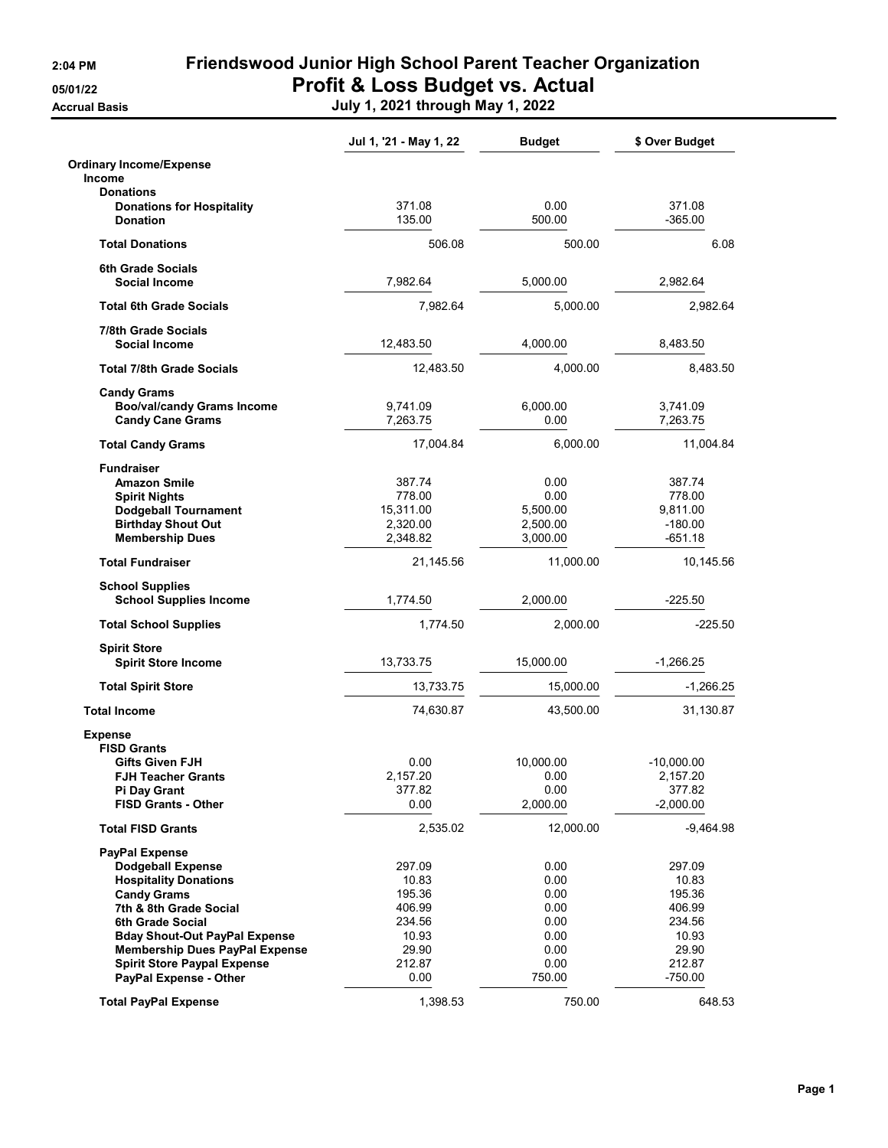**Accrual Basis** 

## 2:04 PM Friendswood Junior High School Parent Teacher Organization 05/01/22 Profit & Loss Budget vs. Actual

|  | July 1, 2021 through May 1, 2022 |  |
|--|----------------------------------|--|

|                                                         | Jul 1, '21 - May 1, 22 | <b>Budget</b>    | \$ Over Budget        |
|---------------------------------------------------------|------------------------|------------------|-----------------------|
| <b>Ordinary Income/Expense</b><br><b>Income</b>         |                        |                  |                       |
| <b>Donations</b>                                        |                        |                  |                       |
| <b>Donations for Hospitality</b>                        | 371.08                 | 0.00             | 371.08                |
| <b>Donation</b>                                         | 135.00                 | 500.00           | $-365.00$             |
| <b>Total Donations</b>                                  | 506.08                 | 500.00           | 6.08                  |
| 6th Grade Socials                                       |                        |                  |                       |
| <b>Social Income</b>                                    | 7,982.64               | 5.000.00         | 2,982.64              |
| <b>Total 6th Grade Socials</b>                          | 7,982.64               | 5,000.00         | 2,982.64              |
| 7/8th Grade Socials<br><b>Social Income</b>             | 12,483.50              | 4,000.00         | 8,483.50              |
| <b>Total 7/8th Grade Socials</b>                        | 12,483.50              | 4,000.00         | 8,483.50              |
| <b>Candy Grams</b>                                      |                        |                  |                       |
| <b>Boo/val/candy Grams Income</b>                       | 9,741.09               | 6,000.00         | 3,741.09              |
| <b>Candy Cane Grams</b>                                 | 7,263.75               | 0.00             | 7,263.75              |
| <b>Total Candy Grams</b>                                | 17,004.84              | 6,000.00         | 11,004.84             |
| <b>Fundraiser</b>                                       |                        |                  |                       |
| <b>Amazon Smile</b>                                     | 387.74                 | 0.00             | 387.74                |
| <b>Spirit Nights</b>                                    | 778.00                 | 0.00             | 778.00                |
| <b>Dodgeball Tournament</b>                             | 15,311.00              | 5,500.00         | 9,811.00              |
| <b>Birthday Shout Out</b>                               | 2,320.00               | 2,500.00         | $-180.00$             |
| <b>Membership Dues</b>                                  | 2,348.82               | 3,000.00         | -651.18               |
| <b>Total Fundraiser</b>                                 | 21,145.56              | 11,000.00        | 10,145.56             |
| <b>School Supplies</b><br><b>School Supplies Income</b> | 1,774.50               | 2,000.00         | $-225.50$             |
| <b>Total School Supplies</b>                            | 1,774.50               | 2,000.00         | $-225.50$             |
| <b>Spirit Store</b>                                     |                        |                  |                       |
| <b>Spirit Store Income</b>                              | 13,733.75              | 15,000.00        | $-1,266.25$           |
| <b>Total Spirit Store</b>                               | 13,733.75              | 15,000.00        | $-1,266.25$           |
| <b>Total Income</b>                                     | 74,630.87              | 43,500.00        | 31,130.87             |
| <b>Expense</b>                                          |                        |                  |                       |
| <b>FISD Grants</b>                                      |                        |                  |                       |
| Gifts Given FJH                                         | 0.00                   | 10,000.00        | $-10,000.00$          |
| <b>FJH Teacher Grants</b>                               | 2,157.20               | 0.00             | 2,157.20              |
| <b>Pi Day Grant</b><br><b>FISD Grants - Other</b>       | 377.82<br>0.00         | 0.00<br>2,000.00 | 377.82<br>$-2,000.00$ |
| <b>Total FISD Grants</b>                                | 2,535.02               | 12,000.00        | $-9,464.98$           |
|                                                         |                        |                  |                       |
| <b>PayPal Expense</b><br><b>Dodgeball Expense</b>       | 297.09                 | 0.00             | 297.09                |
| <b>Hospitality Donations</b>                            | 10.83                  | 0.00             | 10.83                 |
| <b>Candy Grams</b>                                      | 195.36                 | 0.00             | 195.36                |
| 7th & 8th Grade Social                                  | 406.99                 | 0.00             | 406.99                |
| 6th Grade Social                                        | 234.56                 | 0.00             | 234.56                |
| <b>Bday Shout-Out PayPal Expense</b>                    | 10.93                  | 0.00             | 10.93                 |
| <b>Membership Dues PayPal Expense</b>                   | 29.90                  | 0.00             | 29.90                 |
| <b>Spirit Store Paypal Expense</b>                      | 212.87                 | 0.00             | 212.87                |
| PayPal Expense - Other                                  | 0.00                   | 750.00           | -750.00               |
|                                                         |                        |                  |                       |
| <b>Total PayPal Expense</b>                             | 1,398.53               | 750.00           | 648.53                |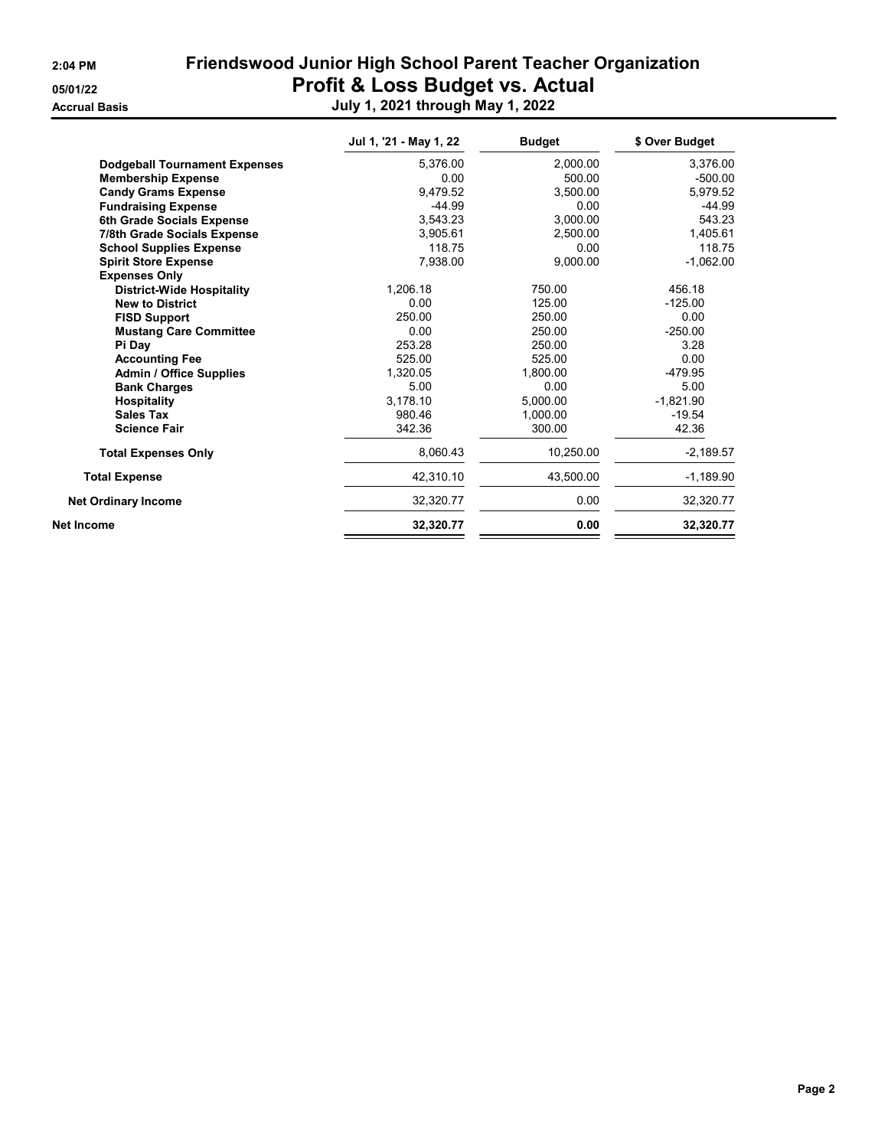| 2:04 PM |
|---------|
|---------|

## Friendswood Junior High School Parent Teacher Organization 05/01/22 **Profit & Loss Budget vs. Actual** Accrual Basis July 1, 2021 through May 1, 2022

|                                      | Jul 1, '21 - May 1, 22 | <b>Budget</b> | \$ Over Budget |
|--------------------------------------|------------------------|---------------|----------------|
| <b>Dodgeball Tournament Expenses</b> | 5,376.00               | 2,000.00      | 3,376.00       |
| <b>Membership Expense</b>            | 0.00                   | 500.00        | $-500.00$      |
| <b>Candy Grams Expense</b>           | 9.479.52               | 3.500.00      | 5,979.52       |
| <b>Fundraising Expense</b>           | $-44.99$               | 0.00          | $-44.99$       |
| 6th Grade Socials Expense            | 3.543.23               | 3.000.00      | 543.23         |
| 7/8th Grade Socials Expense          | 3,905.61               | 2,500.00      | 1,405.61       |
| <b>School Supplies Expense</b>       | 118.75                 | 0.00          | 118.75         |
| <b>Spirit Store Expense</b>          | 7,938.00               | 9,000.00      | $-1,062.00$    |
| <b>Expenses Only</b>                 |                        |               |                |
| <b>District-Wide Hospitality</b>     | 1.206.18               | 750.00        | 456.18         |
| <b>New to District</b>               | 0.00                   | 125.00        | $-125.00$      |
| <b>FISD Support</b>                  | 250.00                 | 250.00        | 0.00           |
| <b>Mustang Care Committee</b>        | 0.00                   | 250.00        | $-250.00$      |
| Pi Day                               | 253.28                 | 250.00        | 3.28           |
| <b>Accounting Fee</b>                | 525.00                 | 525.00        | 0.00           |
| <b>Admin / Office Supplies</b>       | 1,320.05               | 1,800.00      | $-479.95$      |
| <b>Bank Charges</b>                  | 5.00                   | 0.00          | 5.00           |
| <b>Hospitality</b>                   | 3.178.10               | 5,000.00      | $-1.821.90$    |
| <b>Sales Tax</b>                     | 980.46                 | 1,000.00      | $-19.54$       |
| <b>Science Fair</b>                  | 342.36                 | 300.00        | 42.36          |
| <b>Total Expenses Only</b>           | 8,060.43               | 10.250.00     | $-2,189.57$    |
| <b>Total Expense</b>                 | 42,310.10              | 43,500.00     | $-1,189.90$    |
| <b>Net Ordinary Income</b>           | 32,320.77              | 0.00          | 32,320.77      |
| <b>Net Income</b>                    | 32,320.77              | 0.00          | 32,320.77      |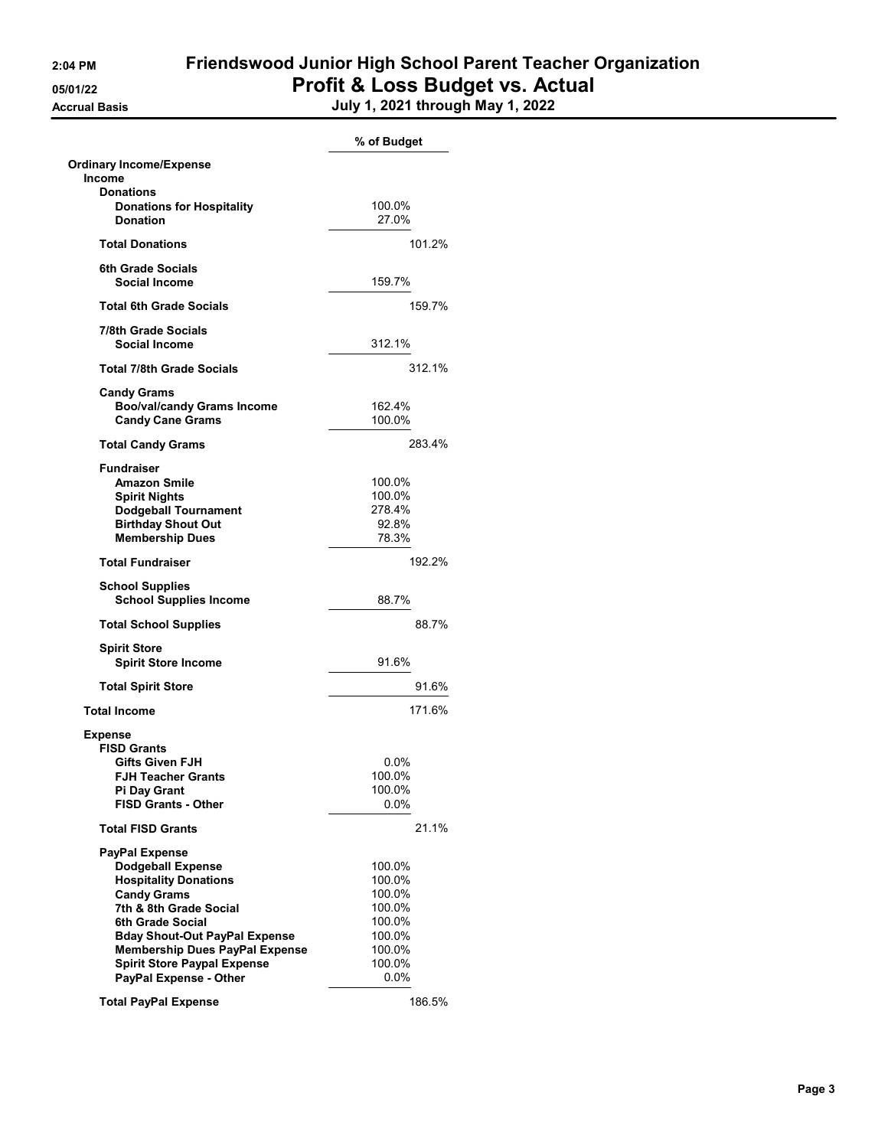## 2:04 PM Friendswood Junior High School Parent Teacher Organization 05/01/22 **Profit & Loss Budget vs. Actual** Accrual Basis July 1, 2021 through May 1, 2022

|                                                      | % of Budget |
|------------------------------------------------------|-------------|
| <b>Ordinary Income/Expense</b>                       |             |
| Income                                               |             |
| <b>Donations</b><br><b>Donations for Hospitality</b> | 100.0%      |
| <b>Donation</b>                                      | 27.0%       |
|                                                      |             |
| <b>Total Donations</b>                               | 101.2%      |
| <b>6th Grade Socials</b>                             |             |
| <b>Social Income</b>                                 | 159.7%      |
| <b>Total 6th Grade Socials</b>                       | 159.7%      |
|                                                      |             |
| 7/8th Grade Socials<br><b>Social Income</b>          | 312.1%      |
|                                                      |             |
| <b>Total 7/8th Grade Socials</b>                     | 312.1%      |
| <b>Candy Grams</b>                                   |             |
| <b>Boo/val/candy Grams Income</b>                    | 162.4%      |
| <b>Candy Cane Grams</b>                              | 100.0%      |
| <b>Total Candy Grams</b>                             | 283.4%      |
| <b>Fundraiser</b>                                    |             |
| <b>Amazon Smile</b>                                  | 100.0%      |
| <b>Spirit Nights</b>                                 | 100.0%      |
| <b>Dodgeball Tournament</b>                          | 278.4%      |
| <b>Birthday Shout Out</b>                            | 92.8%       |
| <b>Membership Dues</b>                               | 78.3%       |
| <b>Total Fundraiser</b>                              | 192.2%      |
|                                                      |             |
| <b>School Supplies</b>                               |             |
| <b>School Supplies Income</b>                        | 88.7%       |
| <b>Total School Supplies</b>                         | 88.7%       |
| <b>Spirit Store</b>                                  |             |
| <b>Spirit Store Income</b>                           | 91.6%       |
| <b>Total Spirit Store</b>                            | 91.6%       |
| <b>Total Income</b>                                  | 171.6%      |
|                                                      |             |
| <b>Expense</b><br><b>FISD Grants</b>                 |             |
| Gifts Given FJH                                      | $0.0\%$     |
| FJH Teacher Grants                                   | 100.0%      |
| <b>Pi Day Grant</b>                                  | 100.0%      |
| <b>FISD Grants - Other</b>                           | $0.0\%$     |
| <b>Total FISD Grants</b>                             | 21.1%       |
|                                                      |             |
| <b>PayPal Expense</b>                                | 100.0%      |
| <b>Dodgeball Expense</b>                             |             |
| <b>Hospitality Donations</b><br><b>Candy Grams</b>   | 100.0%      |
|                                                      | 100.0%      |
| 7th & 8th Grade Social                               | 100.0%      |
| <b>6th Grade Social</b>                              | 100.0%      |
| <b>Bday Shout-Out PayPal Expense</b>                 | 100.0%      |
| <b>Membership Dues PayPal Expense</b>                | 100.0%      |
| <b>Spirit Store Paypal Expense</b>                   | 100.0%      |
| PayPal Expense - Other                               | $0.0\%$     |
| <b>Total PayPal Expense</b>                          | 186.5%      |
|                                                      |             |